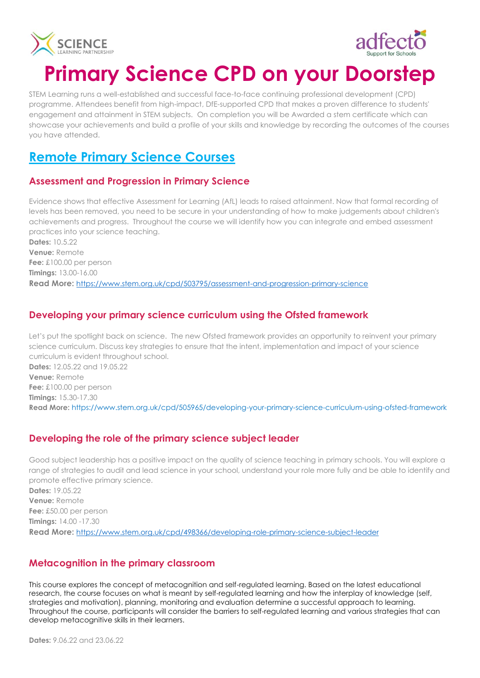



# **Primary Science CPD on your Doorstep**

STEM Learning runs a well-established and successful face-to-face continuing professional development (CPD) programme. Attendees benefit from high-impact, DfE-supported CPD that makes a proven difference to students' engagement and attainment in STEM subjects. On completion you will be Awarded a stem certificate which can showcase your achievements and build a profile of your skills and knowledge by recording the outcomes of the courses you have attended.

# **Remote Primary Science Courses**

#### **Assessment and Progression in Primary Science**

Evidence shows that effective Assessment for Learning (AfL) leads to raised attainment. Now that formal recording of levels has been removed, you need to be secure in your understanding of how to make judgements about children's achievements and progress. Throughout the course we will identify how you can integrate and embed assessment practices into your science teaching.

**Dates:** 10.5.22 **Venue:** Remote **Fee:** £100.00 per person **Timings:** 13.00-16.00 **Read More:** <https://www.stem.org.uk/cpd/503795/assessment-and-progression-primary-science>

# **Developing your primary science curriculum using the Ofsted framework**

Let's put the spotlight back on science. The new Ofsted framework provides an opportunity to reinvent your primary science curriculum. Discuss key strategies to ensure that the intent, implementation and impact of your science curriculum is evident throughout school. **Dates:** 12.05.22 and 19.05.22 **Venue:** Remote **Fee:** £100.00 per person **Timings:** 15.30-17.30 **Read More:** https://www.stem.org.uk/cpd/505965/developing-your-primary-science-curriculum-using-ofsted-framework

# **Developing the role of the primary science subject leader**

Good subject leadership has a positive impact on the quality of science teaching in primary schools. You will explore a range of strategies to audit and lead science in your school, understand your role more fully and be able to identify and promote effective primary science. **Dates:** 19.05.22

**Venue:** Remote **Fee:** £50.00 per person **Timings:** 14.00 -17.30 **Read More:** <https://www.stem.org.uk/cpd/498366/developing-role-primary-science-subject-leader>

# **Metacognition in the primary classroom**

This course explores the concept of metacognition and self-regulated learning. Based on the latest educational research, the course focuses on what is meant by self-regulated learning and how the interplay of knowledge (self, strategies and motivation), planning, monitoring and evaluation determine a successful approach to learning. Throughout the course, participants will consider the barriers to self-regulated learning and various strategies that can develop metacognitive skills in their learners.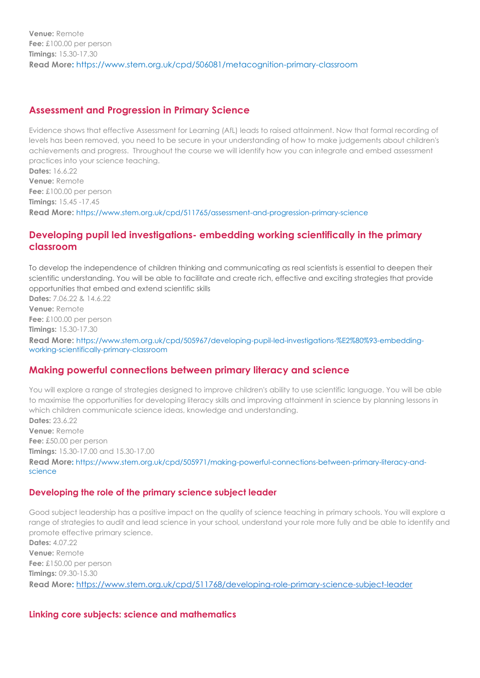#### **Assessment and Progression in Primary Science**

**Timings:** 15.45 -17.45

Evidence shows that effective Assessment for Learning (AfL) leads to raised attainment. Now that formal recording of levels has been removed, you need to be secure in your understanding of how to make judgements about children's achievements and progress. Throughout the course we will identify how you can integrate and embed assessment practices into your science teaching. **Dates:** 16.6.22 **Venue:** Remote **Fee:** £100.00 per person

**Read More:** https://www.stem.org.uk/cpd/511765/assessment-and-progression-primary-science

#### **Developing pupil led investigations- embedding working scientifically in the primary classroom**

To develop the independence of children thinking and communicating as real scientists is essential to deepen their scientific understanding. You will be able to facilitate and create rich, effective and exciting strategies that provide opportunities that embed and extend scientific skills

**Dates:** 7.06.22 & 14.6.22 **Venue:** Remote **Fee:** £100.00 per person **Timings:** 15.30-17.30 **Read More:** https://www.stem.org.uk/cpd/505967/developing-pupil-led-investigations-%E2%80%93-embeddingworking-scientifically-primary-classroom

# **Making powerful connections between primary literacy and science**

You will explore a range of strategies designed to improve children's ability to use scientific language. You will be able to maximise the opportunities for developing literacy skills and improving attainment in science by planning lessons in which children communicate science ideas, knowledge and understanding. **Dates:** 23.6.22

**Venue:** Remote **Fee:** £50.00 per person **Timings:** 15.30-17.00 and 15.30-17.00 **Read More:** https://www.stem.org.uk/cpd/505971/making-powerful-connections-between-primary-literacy-andscience

#### **Developing the role of the primary science subject leader**

Good subject leadership has a positive impact on the quality of science teaching in primary schools. You will explore a range of strategies to audit and lead science in your school, understand your role more fully and be able to identify and promote effective primary science. **Dates:** 4.07.22 **Venue:** Remote **Fee:** £150.00 per person **Timings:** 09.30-15.30 **Read More:** <https://www.stem.org.uk/cpd/511768/developing-role-primary-science-subject-leader>

#### **Linking core subjects: science and mathematics**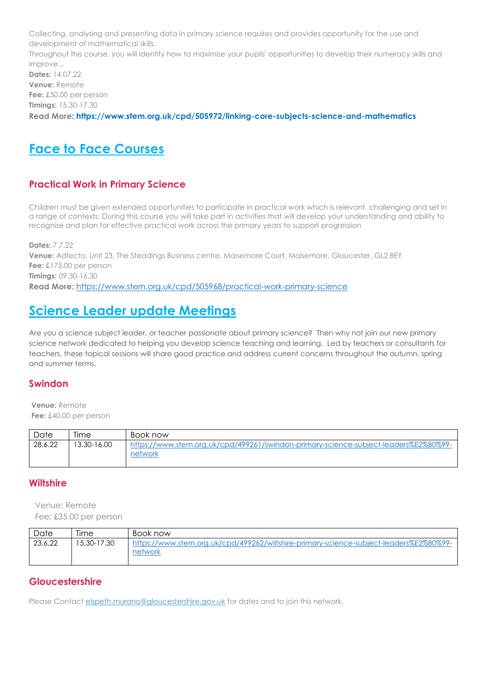Collecting, analysing and presenting data in primary science requires and provides opportunity for the use and development of mathematical skills.

Throughout this course, you will identify how to maximise your pupils' opportunities to develop their numeracy skills and improve...

**Dates:** 14.07.22 **Venue:** Remote **Fee:** £50.00 per person **Timings:** 15.30-17.30 **Read More: https://www.stem.org.uk/cpd/505972/linking-core-subjects-science-and-mathematics**

# **Face to Face Courses**

# **Practical Work in Primary Science**

Children must be given extended opportunities to participate in practical work which is relevant, challenging and set in a range of contexts. During this course you will take part in activities that will develop your understanding and ability to recognise and plan for effective practical work across the primary years to support progression

**Dates:** 7.7.22 **Venue:** Adfecto, Unit 23, The Steadings Business centre, Maisemore Court, Maisemore, Gloucester, GL2 8EY **Fee:** £175.00 per person **Timings:** 09.30-16.30 **Read More:** <https://www.stem.org.uk/cpd/505968/practical-work-primary-science>

# **Science Leader update Meetings**

Are you a science subject leader, or teacher passionate about primary science? Then why not join our new primary science network dedicated to helping you develop science teaching and learning. Led by teachers or consultants for teachers, these topical sessions will share good practice and address current concerns throughout the autumn, spring and summer terms.

# **Swindon**

**Venue:** Remote **Fee:** £40.00 per person

| Date    | Time        | Book now                                                                             |
|---------|-------------|--------------------------------------------------------------------------------------|
| 28.6.22 | 13.30-16.00 | https://www.stem.org.uk/cpd/499261/swindon-primary-science-subject-leaders%E2%80%99- |
|         |             | network                                                                              |

# **Wiltshire**

Venue: Remote Fee: £35.00 per person

| Date    | lıme        | Book now                                                                                          |
|---------|-------------|---------------------------------------------------------------------------------------------------|
| 23.6.22 | 15.30-17.30 | https://www.stem.org.uk/cpd/499262/wiltshire-primary-science-subject-leaders%E2%80%99-<br>network |
|         |             |                                                                                                   |

# **Gloucestershire**

Please Contact [elspeth.murano@gloucestershire.gov.uk](mailto:elspeth.murano@gloucestershire.gov.uk) for dates and to join this network.